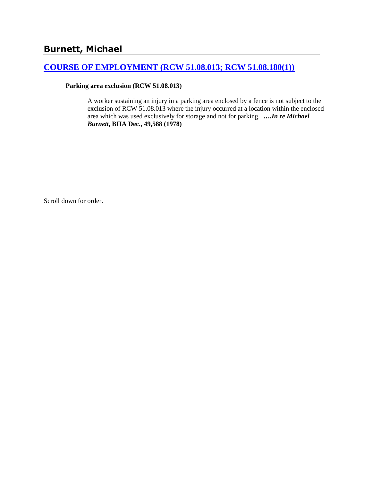## **[COURSE OF EMPLOYMENT \(RCW 51.08.013; RCW 51.08.180\(1\)\)](http://www.biia.wa.gov/SDSubjectIndex.html#COURSE_OF_EMPLOYMENT)**

### **Parking area exclusion (RCW 51.08.013)**

A worker sustaining an injury in a parking area enclosed by a fence is not subject to the exclusion of RCW 51.08.013 where the injury occurred at a location within the enclosed area which was used exclusively for storage and not for parking. **….***In re Michael Burnett***, BIIA Dec., 49,588 (1978)** 

Scroll down for order.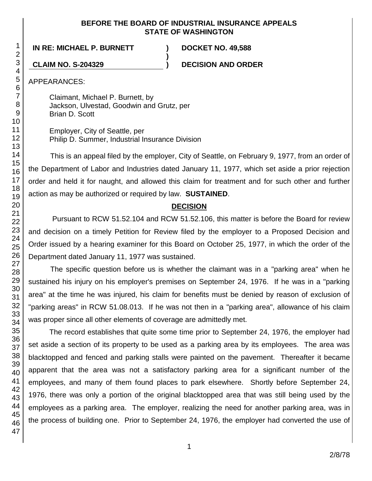### **BEFORE THE BOARD OF INDUSTRIAL INSURANCE APPEALS STATE OF WASHINGTON**

**)**

**IN RE: MICHAEL P. BURNETT ) DOCKET NO. 49,588**

**CLAIM NO. S-204329 ) DECISION AND ORDER**

APPEARANCES:

Claimant, Michael P. Burnett, by Jackson, Ulvestad, Goodwin and Grutz, per Brian D. Scott

Employer, City of Seattle, per Philip D. Summer, Industrial Insurance Division

This is an appeal filed by the employer, City of Seattle, on February 9, 1977, from an order of the Department of Labor and Industries dated January 11, 1977, which set aside a prior rejection order and held it for naught, and allowed this claim for treatment and for such other and further action as may be authorized or required by law. **SUSTAINED**.

## **DECISION**

Pursuant to RCW 51.52.104 and RCW 51.52.106, this matter is before the Board for review and decision on a timely Petition for Review filed by the employer to a Proposed Decision and Order issued by a hearing examiner for this Board on October 25, 1977, in which the order of the Department dated January 11, 1977 was sustained.

The specific question before us is whether the claimant was in a "parking area" when he sustained his injury on his employer's premises on September 24, 1976. If he was in a "parking area" at the time he was injured, his claim for benefits must be denied by reason of exclusion of "parking areas" in RCW 51.08.013. If he was not then in a "parking area", allowance of his claim was proper since all other elements of coverage are admittedly met.

The record establishes that quite some time prior to September 24, 1976, the employer had set aside a section of its property to be used as a parking area by its employees. The area was blacktopped and fenced and parking stalls were painted on the pavement. Thereafter it became apparent that the area was not a satisfactory parking area for a significant number of the employees, and many of them found places to park elsewhere. Shortly before September 24, 1976, there was only a portion of the original blacktopped area that was still being used by the employees as a parking area. The employer, realizing the need for another parking area, was in the process of building one. Prior to September 24, 1976, the employer had converted the use of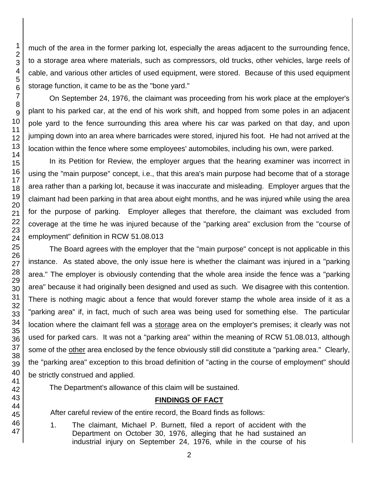much of the area in the former parking lot, especially the areas adjacent to the surrounding fence, to a storage area where materials, such as compressors, old trucks, other vehicles, large reels of cable, and various other articles of used equipment, were stored. Because of this used equipment storage function, it came to be as the "bone yard."

On September 24, 1976, the claimant was proceeding from his work place at the employer's plant to his parked car, at the end of his work shift, and hopped from some poles in an adjacent pole yard to the fence surrounding this area where his car was parked on that day, and upon jumping down into an area where barricades were stored, injured his foot. He had not arrived at the location within the fence where some employees' automobiles, including his own, were parked.

In its Petition for Review, the employer argues that the hearing examiner was incorrect in using the "main purpose" concept, i.e., that this area's main purpose had become that of a storage area rather than a parking lot, because it was inaccurate and misleading. Employer argues that the claimant had been parking in that area about eight months, and he was injured while using the area for the purpose of parking. Employer alleges that therefore, the claimant was excluded from coverage at the time he was injured because of the "parking area" exclusion from the "course of employment" definition in RCW 51.08.013

The Board agrees with the employer that the "main purpose" concept is not applicable in this instance. As stated above, the only issue here is whether the claimant was injured in a "parking area." The employer is obviously contending that the whole area inside the fence was a "parking area" because it had originally been designed and used as such. We disagree with this contention. There is nothing magic about a fence that would forever stamp the whole area inside of it as a "parking area" if, in fact, much of such area was being used for something else. The particular location where the claimant fell was a storage area on the employer's premises; it clearly was not used for parked cars. It was not a "parking area" within the meaning of RCW 51.08.013, although some of the other area enclosed by the fence obviously still did constitute a "parking area." Clearly, the "parking area" exception to this broad definition of "acting in the course of employment" should be strictly construed and applied.

The Department's allowance of this claim will be sustained.

# **FINDINGS OF FACT**

After careful review of the entire record, the Board finds as follows:

1. The claimant, Michael P. Burnett, filed a report of accident with the Department on October 30, 1976, alleging that he had sustained an industrial injury on September 24, 1976, while in the course of his